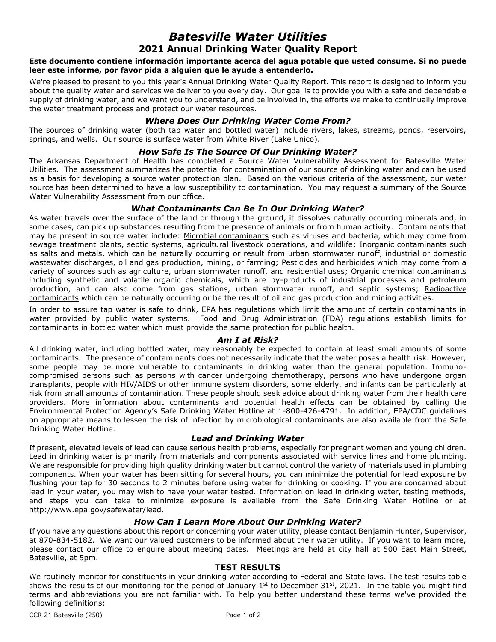# *Batesville Water Utilities* **2021 Annual Drinking Water Quality Report**

### **Este documento contiene información importante acerca del agua potable que usted consume. Si no puede leer este informe, por favor pida a alguien que le ayude a entenderlo.**

We're pleased to present to you this year's Annual Drinking Water Quality Report. This report is designed to inform you about the quality water and services we deliver to you every day. Our goal is to provide you with a safe and dependable supply of drinking water, and we want you to understand, and be involved in, the efforts we make to continually improve the water treatment process and protect our water resources.

## *Where Does Our Drinking Water Come From?*

The sources of drinking water (both tap water and bottled water) include rivers, lakes, streams, ponds, reservoirs, springs, and wells. Our source is surface water from White River (Lake Unico).

## *How Safe Is The Source Of Our Drinking Water?*

The Arkansas Department of Health has completed a Source Water Vulnerability Assessment for Batesville Water Utilities. The assessment summarizes the potential for contamination of our source of drinking water and can be used as a basis for developing a source water protection plan. Based on the various criteria of the assessment, our water source has been determined to have a low susceptibility to contamination. You may request a summary of the Source Water Vulnerability Assessment from our office.

## *What Contaminants Can Be In Our Drinking Water?*

As water travels over the surface of the land or through the ground, it dissolves naturally occurring minerals and, in some cases, can pick up substances resulting from the presence of animals or from human activity. Contaminants that may be present in source water include: Microbial contaminants such as viruses and bacteria, which may come from sewage treatment plants, septic systems, agricultural livestock operations, and wildlife; Inorganic contaminants such as salts and metals, which can be naturally occurring or result from urban stormwater runoff, industrial or domestic wastewater discharges, oil and gas production, mining, or farming; Pesticides and herbicides which may come from a variety of sources such as agriculture, urban stormwater runoff, and residential uses; Organic chemical contaminants including synthetic and volatile organic chemicals, which are by-products of industrial processes and petroleum production, and can also come from gas stations, urban stormwater runoff, and septic systems; Radioactive contaminants which can be naturally occurring or be the result of oil and gas production and mining activities.

In order to assure tap water is safe to drink, EPA has regulations which limit the amount of certain contaminants in water provided by public water systems. Food and Drug Administration (FDA) regulations establish limits for contaminants in bottled water which must provide the same protection for public health.

## *Am I at Risk?*

All drinking water, including bottled water, may reasonably be expected to contain at least small amounts of some contaminants. The presence of contaminants does not necessarily indicate that the water poses a health risk. However, some people may be more vulnerable to contaminants in drinking water than the general population. Immunocompromised persons such as persons with cancer undergoing chemotherapy, persons who have undergone organ transplants, people with HIV/AIDS or other immune system disorders, some elderly, and infants can be particularly at risk from small amounts of contamination. These people should seek advice about drinking water from their health care providers. More information about contaminants and potential health effects can be obtained by calling the Environmental Protection Agency's Safe Drinking Water Hotline at 1-800-426-4791. In addition, EPA/CDC guidelines on appropriate means to lessen the risk of infection by microbiological contaminants are also available from the Safe Drinking Water Hotline.

### *Lead and Drinking Water*

If present, elevated levels of lead can cause serious health problems, especially for pregnant women and young children. Lead in drinking water is primarily from materials and components associated with service lines and home plumbing. We are responsible for providing high quality drinking water but cannot control the variety of materials used in plumbing components. When your water has been sitting for several hours, you can minimize the potential for lead exposure by flushing your tap for 30 seconds to 2 minutes before using water for drinking or cooking. If you are concerned about lead in your water, you may wish to have your water tested. Information on lead in drinking water, testing methods, and steps you can take to minimize exposure is available from the Safe Drinking Water Hotline or at http://www.epa.gov/safewater/lead.

### *How Can I Learn More About Our Drinking Water?*

If you have any questions about this report or concerning your water utility, please contact Benjamin Hunter, Supervisor, at 870-834-5182. We want our valued customers to be informed about their water utility. If you want to learn more, please contact our office to enquire about meeting dates. Meetings are held at city hall at 500 East Main Street, Batesville, at 5pm.

### **TEST RESULTS**

We routinely monitor for constituents in your drinking water according to Federal and State laws. The test results table shows the results of our monitoring for the period of January 1st to December 31st, 2021. In the table you might find terms and abbreviations you are not familiar with. To help you better understand these terms we've provided the following definitions: